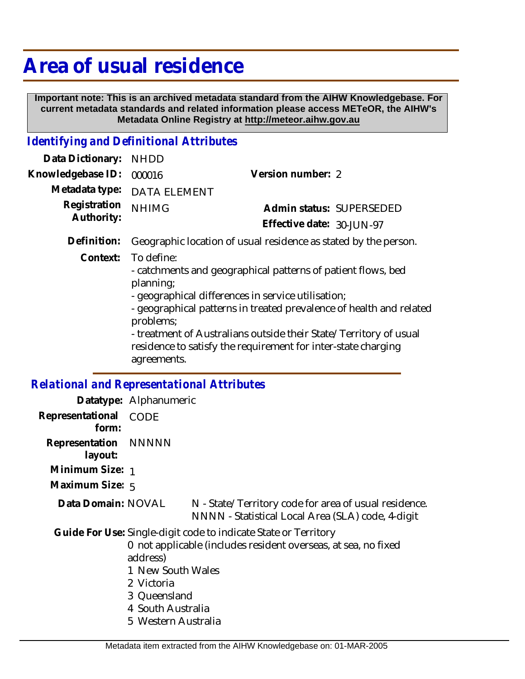# **Area of usual residence**

 **Important note: This is an archived metadata standard from the AIHW Knowledgebase. For current metadata standards and related information please access METeOR, the AIHW's Metadata Online Registry at http://meteor.aihw.gov.au**

## *Identifying and Definitional Attributes*

| Data Dictionary:           | <b>NHDD</b>                                                                                                                                                                                                                                                                                                                                                                            |                           |  |
|----------------------------|----------------------------------------------------------------------------------------------------------------------------------------------------------------------------------------------------------------------------------------------------------------------------------------------------------------------------------------------------------------------------------------|---------------------------|--|
| Knowledgebase ID:          | 000016                                                                                                                                                                                                                                                                                                                                                                                 | Version number: 2         |  |
| Metadata type:             | <b>DATA ELEMENT</b>                                                                                                                                                                                                                                                                                                                                                                    |                           |  |
| Registration<br>Authority: | <b>NHIMG</b>                                                                                                                                                                                                                                                                                                                                                                           | Admin status: SUPERSEDED  |  |
|                            |                                                                                                                                                                                                                                                                                                                                                                                        | Effective date: 30-JUN-97 |  |
| Definition:                | Geographic location of usual residence as stated by the person.                                                                                                                                                                                                                                                                                                                        |                           |  |
| Context:                   | To define:<br>- catchments and geographical patterns of patient flows, bed<br>planning;<br>- geographical differences in service utilisation;<br>- geographical patterns in treated prevalence of health and related<br>problems;<br>- treatment of Australians outside their State/Territory of usual<br>residence to satisfy the requirement for inter-state charging<br>agreements. |                           |  |

## *Relational and Representational Attributes*

|                           | Datatype: Alphanumeric                                                                                  |                                                                                                                                   |
|---------------------------|---------------------------------------------------------------------------------------------------------|-----------------------------------------------------------------------------------------------------------------------------------|
| Representational<br>form: | CODE                                                                                                    |                                                                                                                                   |
| Representation<br>layout: | NNNNN                                                                                                   |                                                                                                                                   |
| Minimum Size: 1           |                                                                                                         |                                                                                                                                   |
| Maximum Size: 5           |                                                                                                         |                                                                                                                                   |
| Data Domain: NOVAL        |                                                                                                         | N - State/Territory code for area of usual residence.<br>NNNN - Statistical Local Area (SLA) code, 4-digit                        |
|                           | address)<br>1 New South Wales<br>2 Victoria<br>3 Queensland<br>4 South Australia<br>5 Western Australia | Guide For Use: Single-digit code to indicate State or Territory<br>0 not applicable (includes resident overseas, at sea, no fixed |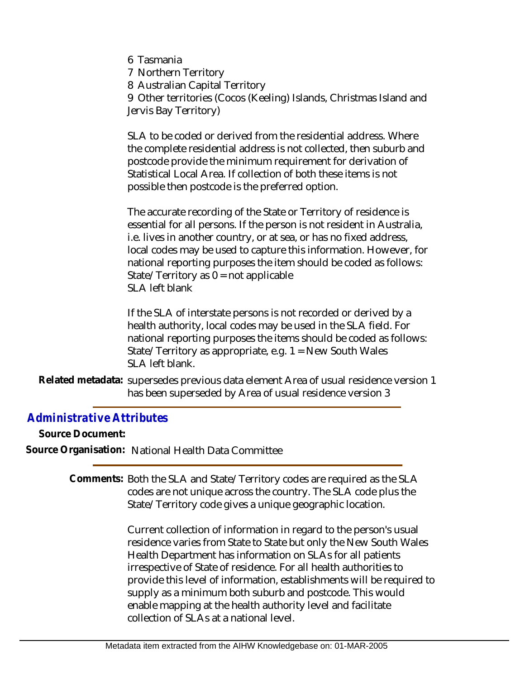- 6 Tasmania
- 7 Northern Territory
- 8 Australian Capital Territory

9 Other territories (Cocos (Keeling) Islands, Christmas Island and Jervis Bay Territory)

SLA to be coded or derived from the residential address. Where the complete residential address is not collected, then suburb and postcode provide the minimum requirement for derivation of Statistical Local Area. If collection of both these items is not possible then postcode is the preferred option.

The accurate recording of the State or Territory of residence is essential for all persons. If the person is not resident in Australia, i.e. lives in another country, or at sea, or has no fixed address, local codes may be used to capture this information. However, for national reporting purposes the item should be coded as follows: State/Territory as  $0 = \text{not applicable}$ SLA left blank

If the SLA of interstate persons is not recorded or derived by a health authority, local codes may be used in the SLA field. For national reporting purposes the items should be coded as follows: State/Territory as appropriate, e.g. 1 = New South Wales SLA left blank.

Related metadata: supersedes previous data element Area of usual residence version 1 has been superseded by Area of usual residence version 3

## *Administrative Attributes*

**Source Document: Source Organisation:** National Health Data Committee

> Comments: Both the SLA and State/Territory codes are required as the SLA codes are not unique across the country. The SLA code plus the State/Territory code gives a unique geographic location.

> > Current collection of information in regard to the person's usual residence varies from State to State but only the New South Wales Health Department has information on SLAs for all patients irrespective of State of residence. For all health authorities to provide this level of information, establishments will be required to supply as a minimum both suburb and postcode. This would enable mapping at the health authority level and facilitate collection of SLAs at a national level.